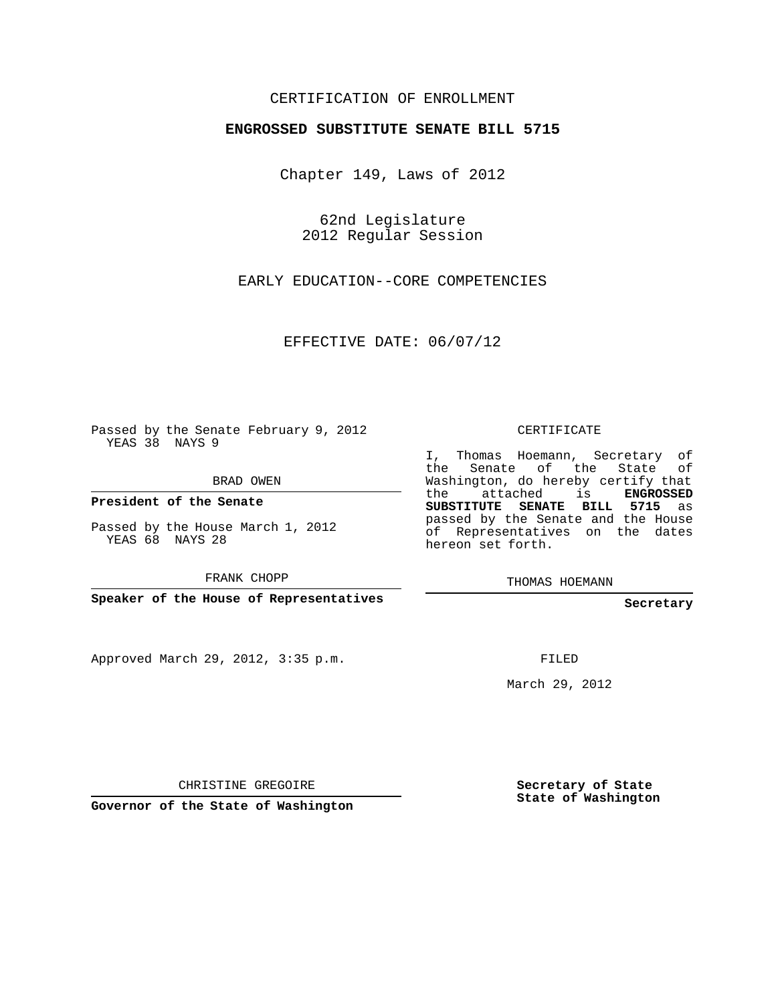## CERTIFICATION OF ENROLLMENT

## **ENGROSSED SUBSTITUTE SENATE BILL 5715**

Chapter 149, Laws of 2012

62nd Legislature 2012 Regular Session

EARLY EDUCATION--CORE COMPETENCIES

EFFECTIVE DATE: 06/07/12

Passed by the Senate February 9, 2012 YEAS 38 NAYS 9

BRAD OWEN

**President of the Senate**

Passed by the House March 1, 2012 YEAS 68 NAYS 28

FRANK CHOPP

**Speaker of the House of Representatives**

Approved March 29, 2012, 3:35 p.m.

CERTIFICATE

I, Thomas Hoemann, Secretary of the Senate of the State Washington, do hereby certify that the attached is **ENGROSSED SUBSTITUTE SENATE BILL 5715** as passed by the Senate and the House of Representatives on the dates hereon set forth.

THOMAS HOEMANN

**Secretary**

FILED

March 29, 2012

CHRISTINE GREGOIRE

**Governor of the State of Washington**

**Secretary of State State of Washington**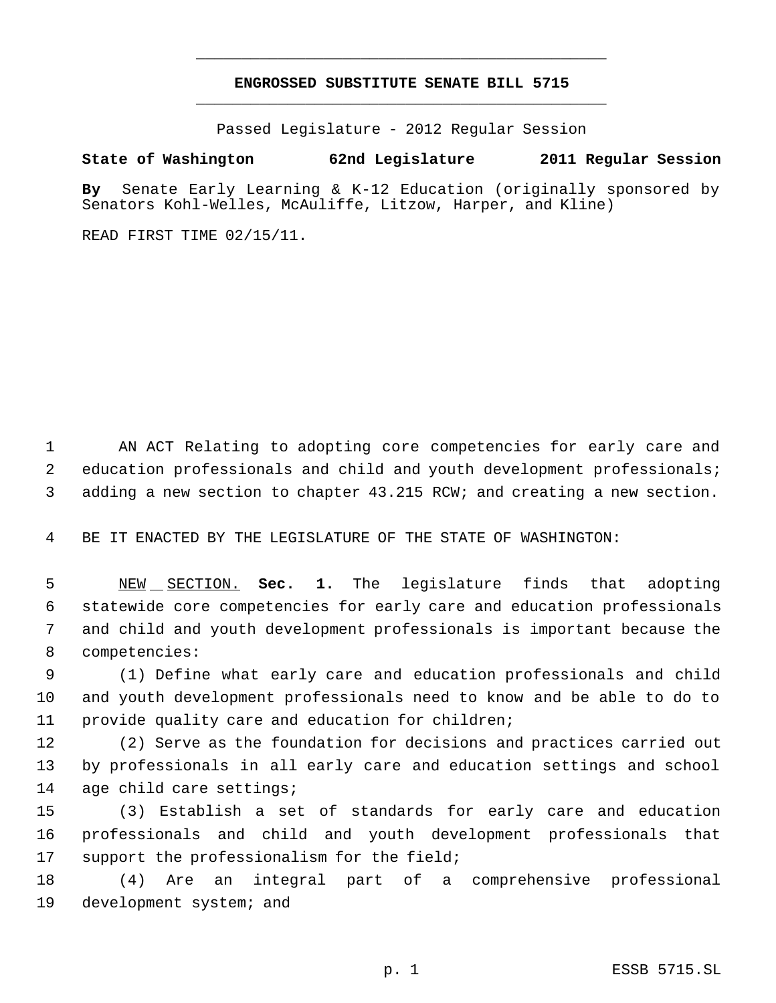## **ENGROSSED SUBSTITUTE SENATE BILL 5715** \_\_\_\_\_\_\_\_\_\_\_\_\_\_\_\_\_\_\_\_\_\_\_\_\_\_\_\_\_\_\_\_\_\_\_\_\_\_\_\_\_\_\_\_\_

\_\_\_\_\_\_\_\_\_\_\_\_\_\_\_\_\_\_\_\_\_\_\_\_\_\_\_\_\_\_\_\_\_\_\_\_\_\_\_\_\_\_\_\_\_

Passed Legislature - 2012 Regular Session

## **State of Washington 62nd Legislature 2011 Regular Session**

**By** Senate Early Learning & K-12 Education (originally sponsored by Senators Kohl-Welles, McAuliffe, Litzow, Harper, and Kline)

READ FIRST TIME 02/15/11.

 AN ACT Relating to adopting core competencies for early care and education professionals and child and youth development professionals; adding a new section to chapter 43.215 RCW; and creating a new section.

BE IT ENACTED BY THE LEGISLATURE OF THE STATE OF WASHINGTON:

 NEW SECTION. **Sec. 1.** The legislature finds that adopting statewide core competencies for early care and education professionals and child and youth development professionals is important because the competencies:

 (1) Define what early care and education professionals and child and youth development professionals need to know and be able to do to provide quality care and education for children;

 (2) Serve as the foundation for decisions and practices carried out by professionals in all early care and education settings and school age child care settings;

 (3) Establish a set of standards for early care and education professionals and child and youth development professionals that 17 support the professionalism for the field;

 (4) Are an integral part of a comprehensive professional development system; and